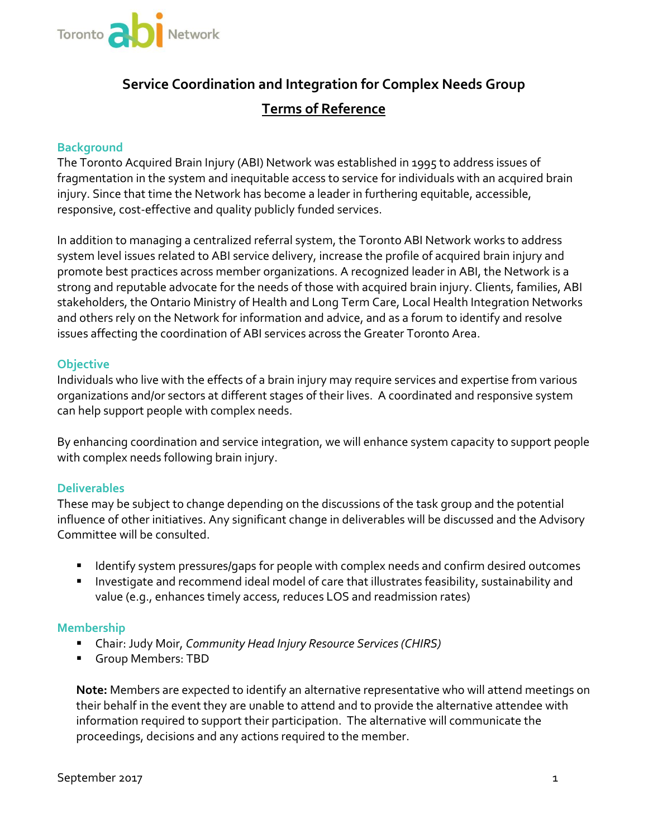

# **Service Coordination and Integration for Complex Needs Group Terms of Reference**

## **Background**

The Toronto Acquired Brain Injury (ABI) Network was established in 1995 to address issues of fragmentation in the system and inequitable access to service for individuals with an acquired brain injury. Since that time the Network has become a leader in furthering equitable, accessible, responsive, cost-effective and quality publicly funded services.

In addition to managing a centralized referral system, the Toronto ABI Network works to address system level issues related to ABI service delivery, increase the profile of acquired brain injury and promote best practices across member organizations. A recognized leader in ABI, the Network is a strong and reputable advocate for the needs of those with acquired brain injury. Clients, families, ABI stakeholders, the Ontario Ministry of Health and Long Term Care, Local Health Integration Networks and others rely on the Network for information and advice, and as a forum to identify and resolve issues affecting the coordination of ABI services across the Greater Toronto Area.

## **Objective**

organizations and/or sectors at different stages of their lives. A coordinated and responsive system Individuals who live with the effects of a brain injury may require services and expertise from various can help support people with complex needs.

By enhancing coordination and service integration, we will enhance system capacity to support people with complex needs following brain injury.

## **Deliverables**

These may be subject to change depending on the discussions of the task group and the potential influence of other initiatives. Any significant change in deliverables will be discussed and the Advisory Committee will be consulted.

- Identify system pressures/gaps for people with complex needs and confirm desired outcomes
- **Investigate and recommend ideal model of care that illustrates feasibility, sustainability and** value (e.g., enhances timely access, reduces LOS and readmission rates)

## **Membership**

- Chair: Judy Moir, *Community Head Injury Resource Services (CHIRS)*
- Group Members: TBD

**Note:** Members are expected to identify an alternative representative who will attend meetings on their behalf in the event they are unable to attend and to provide the alternative attendee with information required to support their participation. The alternative will communicate the proceedings, decisions and any actions required to the member.